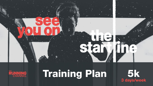



### **Training Plan**

 $5k$ <br>3 days/week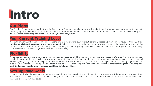### **IIntro**

#### **Our Plans**

Our Training Plans are designed by Olympic finalist Andy Baddeley in collaboration with Andy Hobdell, who has coached runners to the last three Olympics at distances from 1,500m to the marathon. Andy also works with runners of all abilities to help them achieve their goals, whether that's completing the distance or dipping under a target time.

#### **Your Current Training Level**

It's really important that you don't jump straight into a new training plan without carefully assessing your current level of training. **This training plan is based on running three times per week**. Whilst the paces are adaptable to your target race goal, the overall volume of training should only be attempted if you've already built up sensibly to this frequency of running. Check out one of our other plans if you're looking for a larger time commitment (4 days/week or 5-6 days/week).

### **Flexibility**

We've laid out our training plan to give you the optimum balance of different types of training and recovery. We know that life sometimes gets in the way and that you might not always be able to do exactly what is planned. If you have a tough day and can't face a planned interval workout, just getting out for an easy run is absolutely fine. You can move the days around to fit with your life and, similarly, if you need to miss a day, that's fine too. Don't panic and try to make up for lost time - **try to be sensible and remember that cramming lots of training into back-to-back days without any recovery could lead to injury or illness**.

#### **Setting Pace Goals**

Listen to your body. Choose an overall target for your 5k race that is realistic - you'll soon find out in sessions if the target pace you've picked is a stretch too far. Don't be afraid to adjust once you've done a few sessions; if you can't complete the workouts at the planned pace, then the pace is too hard at this stage.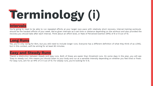# **TTerminology (i)**

#### **Intervals**

You're going to need to be able to run repeated efforts at your target race pace with relatively short recovery. Interval training workouts should be the hardest efforts of your week. We've given intervals as a set time or distance depending on the workout and also provided the recovery you should take after each interval. Think about an effort level, or Rate of Perceived Exertion (RPE) of 8 or 9 out of 10.

#### **Long Runs**

Yes, you're only racing for 5km, but you still need to include longer runs. Everyone has a different definition of what they think of as LONG, but in this context, we'll be aiming for at least 60 minutes.

#### **Easy and Steady Runs**

There's a distinction between steady and easy runs. Both of these are easier than threshold runs. On some days in the plan, you will see 'Easy to steady run'; this means you should listen to your body and run at a sensible intensity depending on whether you feel tired or fresh. For easy runs, aim for an RPE of 3-4 out of 10. For steady runs, you're looking for 5-6.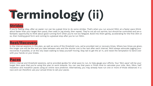# **TTerminology (ii)**



If you're feeling okay, after an easier run can be a great time to do some strides. That's when you run around 100m at a faster pace (think about faster than your target 5km pace), then walk or jog slowly, then repeat. They're not all-out sprints, but should be controlled and are a fantastic opportunity to think about good running form when you're not too fatigued. Build into them gently, accelerating for the first 30m or so, then holding good form and coming to a gradual stop after you've run 100m.

#### **Rest/Recovery**

In the interval sessions in this plan, as well as some of the threshold runs, we've provided rest or recovery times. Where two times are given, the longer one will be the rest you take between sets and the shorter one is the rest after each interval. We'd always advocate jogging your recoveries if possible, or at the very least walking to keep yourself moving. Stay tall to get the air in, and resist the temptation to bend over with your hands on your knees.

#### **Paces**

Within interval and threshold sessions, we've provided guides for what pace to run, to help gauge your efforts. Your '5km pace' will be your target 5km pace that you're using this plan to work towards. You can use that pace or finish time to calculate your mile, 3km, 10km, half marathon and marathon paces using an online race predictor. Alternatively, you may already have run one or more of those distances in a race and can therefore use your actual times to set your paces.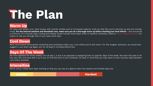#### **Warm Up**

For easy and steady runs, start slower with shorter strides and an increased cadence until you feel like you're warmed up and are moving nicely. **For the interval sessions and threshold runs, make sure you do a thorough warm up before starting your hard efforts** - this should be a minimum of 5 minutes easy running and ideally would include some basic drills or dynamic stretches. Head to [therunningchannel.com](https://therunningchannel.com/) for videos to talk you through them if you need some tips!

#### **Cool Down**

We'd recommend some gentle stretching and activations after your runs whilst you're still warm. For the tougher workouts, we would also suggest a cool down jog (again aim for at least 5 minutes) before this.

#### **Days Of The Week**

We have labelled the three weekly runs as Day 1, 2 and 3 as opposed to assigning them to specific days of the week. We want this plan to fit into your life, and have left it up to you to find the time in your schedule. Do bear in mind that you may want to have recovery days between runs where possible.

#### **Intensities**

We've colour coded each day's training so that you can see at a glance when the easiest and hardest days are.

**Easiest Hardest**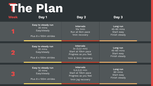**Week Day 1 Day 2 Day 3 1 Easy to steady run** 30 mins Easy/steady Plus 8 x 100m strides **2 3 Intervals** 10x 1min Run at 5km pace 1min recovery **Long run** 45-60 mins Start easy Finish steady **Easy to steady run** 30 mins Easy/steady Plus 8 x 100m strides **Intervals** 3x (3,2,1 min) Start at 10km pace Progress as you feel 1min & 3min recovery **Long run** 45-60 mins Start easy Finish steady **Easy to steady run** 30 mins Easy/steady Plus 8 x 100m strides **Long run** 60 mins Start easy Finish steady **Intervals** 5,4,3,2,1 min Start at 10km pace Progress as you feel 1min jog recovery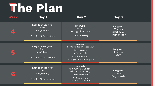**Week Day 1 Day 2 Day 3 4 Easy to steady run** 8km Easy/steady Plus 8 x 100m strides **Intervals** 5x 1km Run @ 5km pace 2min recovery

> **Easy to steady run** 8km Easy/steady

**5**

**6**

Plus 8 x 100m strides

**Easy to steady run** 8km Easy/steady

Plus 8 x 100m strides

**Intervals** 4x 800m @ Mile pace With 2min recovery 3min recovery 6x 30s strides With 30s recovery

**Intervals** 4x 30s strides (60s recovery) 3min recovery 1 mile time trial 4min jog recovery 1 mile @ half marathon pace

> **Long run** 60 mins Easy/steady

**Long run** 60 mins Start easy Finish steady

> **Long run** 60 mins Easy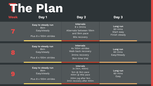#### **Week Day 1 Day 2 Day 3**

|                                                    | Easy to steady run<br>8km<br>Easy/steady<br>Plus 8 x 100m strides | <b>Intervals</b><br>8 x 3 mins<br>Alternate between 10km<br>and 5km pace<br>90s recovery                                   | Long run<br>60 mins<br>Start easy<br>Finish steady |  |
|----------------------------------------------------|-------------------------------------------------------------------|----------------------------------------------------------------------------------------------------------------------------|----------------------------------------------------|--|
| $\qquad \qquad \bullet$<br>$\qquad \qquad \bullet$ | Easy to steady run<br>8km<br>Easy/steady<br>Plus 8 x 100m strides | <b>Intervals</b><br>4x 100m strides<br>Walk back recovery<br>3mins recovery<br>3km time trial                              | Long run<br>60 mins<br>Easy/Steady                 |  |
|                                                    |                                                                   |                                                                                                                            |                                                    |  |
| $\bullet$                                          | Easy to steady run<br>8km<br>Easy/steady<br>Plus 8 x 100m strides | <b>Intervals</b><br>3x (1km, 400m)<br>1km @ 3km pace<br>400m @ Mile pace<br>200m jog after 1km<br>3min recovery after 400m | Long run<br>60 mins<br>Easy                        |  |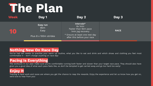| <b>Week</b>       | Day 1                                            | Day 2                                                                                                                               | Day 3       |
|-------------------|--------------------------------------------------|-------------------------------------------------------------------------------------------------------------------------------------|-------------|
| $\lceil 0 \rceil$ | Easy run<br>8km<br>Easy<br>Plus 8 x 100m strides | Intervals*<br>6x 1min<br>Faster than 5km pace<br>1min jog recovery<br>* Ensure at least one rest day<br>after this before your race | <b>RACE</b> |

#### **Nothing New On Race Day**

You've had ten weeks to practise your warm up routine, what you like to eat and drink and which shoes and clothing you feel most comfortable in - don't change anything on race day!

### **Pacing Is Everything**

The workouts in our plan make sure you're comfortable running both faster and slower than your target race pace. They should also have given you a good idea of what each pace feels like, so don't be tempted to get carried away and go too hard too early!

### **Enjoy It**

Training is hard work and races are where you get the chance to reap the rewards. Enjoy the experience and let us know how you get on, we'd love to hear from you!